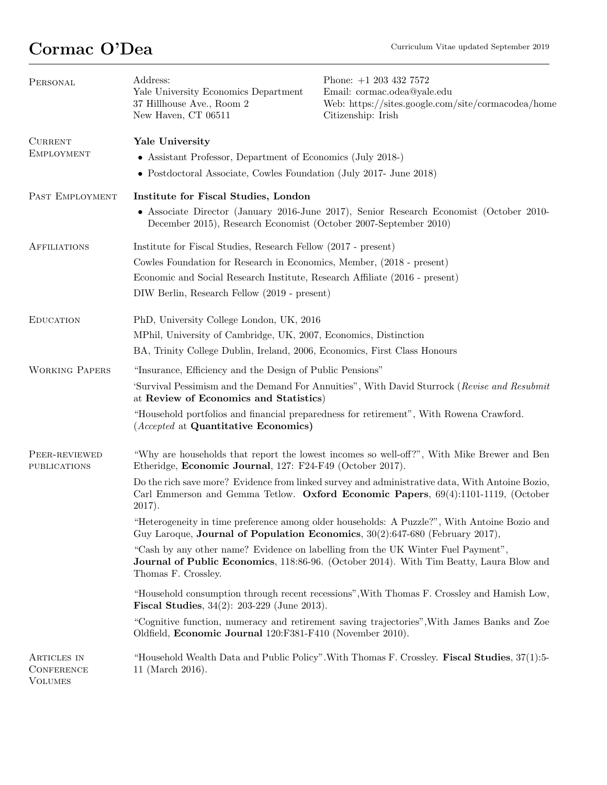## Cormac O'Dea Curriculum Vitae updated September 2019

| PERSONAL                                           | Address:<br>Yale University Economics Department<br>37 Hillhouse Ave., Room 2<br>New Haven, CT 06511                                                                                               | Phone: $+1$ 203 432 7572<br>Email: cormac.odea@yale.edu<br>Web: https://sites.google.com/site/cormacodea/home<br>Citizenship: Irish |  |
|----------------------------------------------------|----------------------------------------------------------------------------------------------------------------------------------------------------------------------------------------------------|-------------------------------------------------------------------------------------------------------------------------------------|--|
| <b>CURRENT</b><br><b>EMPLOYMENT</b>                | Yale University<br>• Assistant Professor, Department of Economics (July 2018-)                                                                                                                     |                                                                                                                                     |  |
|                                                    | • Postdoctoral Associate, Cowles Foundation (July 2017- June 2018)                                                                                                                                 |                                                                                                                                     |  |
| PAST EMPLOYMENT                                    | Institute for Fiscal Studies, London                                                                                                                                                               |                                                                                                                                     |  |
|                                                    | • Associate Director (January 2016-June 2017), Senior Research Economist (October 2010-<br>December 2015), Research Economist (October 2007-September 2010)                                        |                                                                                                                                     |  |
| <b>AFFILIATIONS</b>                                | Institute for Fiscal Studies, Research Fellow (2017 - present)                                                                                                                                     |                                                                                                                                     |  |
|                                                    | Cowles Foundation for Research in Economics, Member, (2018 - present)                                                                                                                              |                                                                                                                                     |  |
|                                                    | Economic and Social Research Institute, Research Affiliate (2016 - present)                                                                                                                        |                                                                                                                                     |  |
|                                                    | DIW Berlin, Research Fellow (2019 - present)                                                                                                                                                       |                                                                                                                                     |  |
| <b>EDUCATION</b>                                   | PhD, University College London, UK, 2016                                                                                                                                                           |                                                                                                                                     |  |
|                                                    | MPhil, University of Cambridge, UK, 2007, Economics, Distinction                                                                                                                                   |                                                                                                                                     |  |
|                                                    | BA, Trinity College Dublin, Ireland, 2006, Economics, First Class Honours                                                                                                                          |                                                                                                                                     |  |
| <b>WORKING PAPERS</b>                              | "Insurance, Efficiency and the Design of Public Pensions"                                                                                                                                          |                                                                                                                                     |  |
|                                                    | 'Survival Pessimism and the Demand For Annuities", With David Sturrock (Revise and Resubmit<br>at Review of Economics and Statistics)                                                              |                                                                                                                                     |  |
|                                                    | "Household portfolios and financial preparedness for retirement", With Rowena Crawford.<br>( <i>Accepted</i> at <b>Quantitative Economics</b> )                                                    |                                                                                                                                     |  |
| PEER-REVIEWED<br><b>PUBLICATIONS</b>               | "Why are households that report the lowest incomes so well-off?", With Mike Brewer and Ben<br>Etheridge, Economic Journal, 127: F24-F49 (October 2017).                                            |                                                                                                                                     |  |
|                                                    | Do the rich save more? Evidence from linked survey and administrative data, With Antoine Bozio,<br>Carl Emmerson and Gemma Tetlow. Oxford Economic Papers, 69(4):1101-1119, (October<br>$2017$ ).  |                                                                                                                                     |  |
|                                                    | "Heterogeneity in time preference among older households: A Puzzle?", With Antoine Bozio and<br>Guy Laroque, Journal of Population Economics, $30(2):647-680$ (February 2017),                     |                                                                                                                                     |  |
|                                                    | "Cash by any other name? Evidence on labelling from the UK Winter Fuel Payment",<br>Journal of Public Economics, 118:86-96. (October 2014). With Tim Beatty, Laura Blow and<br>Thomas F. Crossley. |                                                                                                                                     |  |
|                                                    | "Household consumption through recent recessions", With Thomas F. Crossley and Hamish Low,<br><b>Fiscal Studies</b> , $34(2)$ : $203-229$ (June 2013).                                             |                                                                                                                                     |  |
|                                                    | "Cognitive function, numeracy and retirement saving trajectories", With James Banks and Zoe<br>Oldfield, Economic Journal 120:F381-F410 (November 2010).                                           |                                                                                                                                     |  |
| ARTICLES IN<br><b>CONFERENCE</b><br><b>VOLUMES</b> | 11 (March 2016).                                                                                                                                                                                   | "Household Wealth Data and Public Policy". With Thomas F. Crossley. Fiscal Studies, 37(1):5-                                        |  |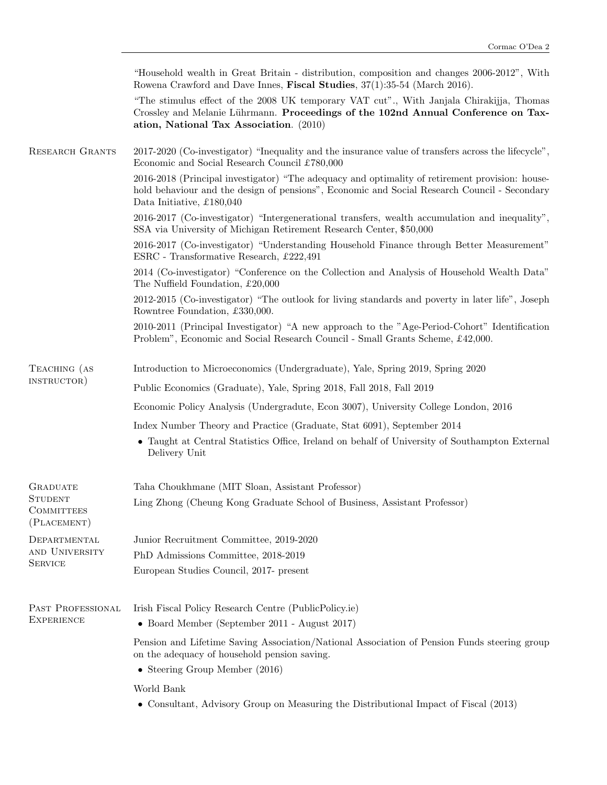|                                                    | "Household wealth in Great Britain - distribution, composition and changes 2006-2012", With<br>Rowena Crawford and Dave Innes, Fiscal Studies, 37(1):35-54 (March 2016).                                                     |  |
|----------------------------------------------------|------------------------------------------------------------------------------------------------------------------------------------------------------------------------------------------------------------------------------|--|
|                                                    | "The stimulus effect of the 2008 UK temporary VAT cut"., With Janjala Chirakijja, Thomas<br>Crossley and Melanie Lührmann. Proceedings of the 102nd Annual Conference on Tax-<br>ation, National Tax Association. (2010)     |  |
| <b>RESEARCH GRANTS</b>                             | 2017-2020 (Co-investigator) "Inequality and the insurance value of transfers across the lifecycle",<br>Economic and Social Research Council £780,000                                                                         |  |
|                                                    | 2016-2018 (Principal investigator) "The adequacy and optimality of retirement provision: house-<br>hold behaviour and the design of pensions", Economic and Social Research Council - Secondary<br>Data Initiative, £180,040 |  |
|                                                    | 2016-2017 (Co-investigator) "Intergenerational transfers, wealth accumulation and inequality",<br>SSA via University of Michigan Retirement Research Center, \$50,000                                                        |  |
|                                                    | 2016-2017 (Co-investigator) "Understanding Household Finance through Better Measurement"<br>ESRC - Transformative Research, £222,491                                                                                         |  |
|                                                    | 2014 (Co-investigator) "Conference on the Collection and Analysis of Household Wealth Data"<br>The Nuffield Foundation, £20,000                                                                                              |  |
|                                                    | 2012-2015 (Co-investigator) "The outlook for living standards and poverty in later life", Joseph<br>Rowntree Foundation, £330,000.                                                                                           |  |
|                                                    | 2010-2011 (Principal Investigator) "A new approach to the "Age-Period-Cohort" Identification<br>Problem", Economic and Social Research Council - Small Grants Scheme, £42,000.                                               |  |
| TEACHING (AS<br>INSTRUCTOR)                        | Introduction to Microeconomics (Undergraduate), Yale, Spring 2019, Spring 2020                                                                                                                                               |  |
|                                                    | Public Economics (Graduate), Yale, Spring 2018, Fall 2018, Fall 2019                                                                                                                                                         |  |
|                                                    | Economic Policy Analysis (Undergradute, Econ 3007), University College London, 2016                                                                                                                                          |  |
|                                                    | Index Number Theory and Practice (Graduate, Stat 6091), September 2014                                                                                                                                                       |  |
|                                                    | • Taught at Central Statistics Office, Ireland on behalf of University of Southampton External<br>Delivery Unit                                                                                                              |  |
| <b>GRADUATE</b>                                    | Taha Choukhmane (MIT Sloan, Assistant Professor)                                                                                                                                                                             |  |
| <b>STUDENT</b><br><b>COMMITTEES</b><br>(PLACEMENT) | Ling Zhong (Cheung Kong Graduate School of Business, Assistant Professor)                                                                                                                                                    |  |
| DEPARTMENTAL<br>AND UNIVERSITY<br><b>SERVICE</b>   | Junior Recruitment Committee, 2019-2020                                                                                                                                                                                      |  |
|                                                    | PhD Admissions Committee, 2018-2019                                                                                                                                                                                          |  |
|                                                    | European Studies Council, 2017- present                                                                                                                                                                                      |  |
| PAST PROFESSIONAL<br><b>EXPERIENCE</b>             | Irish Fiscal Policy Research Centre (PublicPolicy.ie)                                                                                                                                                                        |  |
|                                                    | • Board Member (September 2011 - August 2017)                                                                                                                                                                                |  |
|                                                    | Pension and Lifetime Saving Association/National Association of Pension Funds steering group<br>on the adequacy of household pension saving.                                                                                 |  |
|                                                    | • Steering Group Member (2016)                                                                                                                                                                                               |  |
|                                                    | World Bank                                                                                                                                                                                                                   |  |

 $\bullet\,$  Consultant, Advisory Group on Measuring the Distributional Impact of Fiscal (2013)